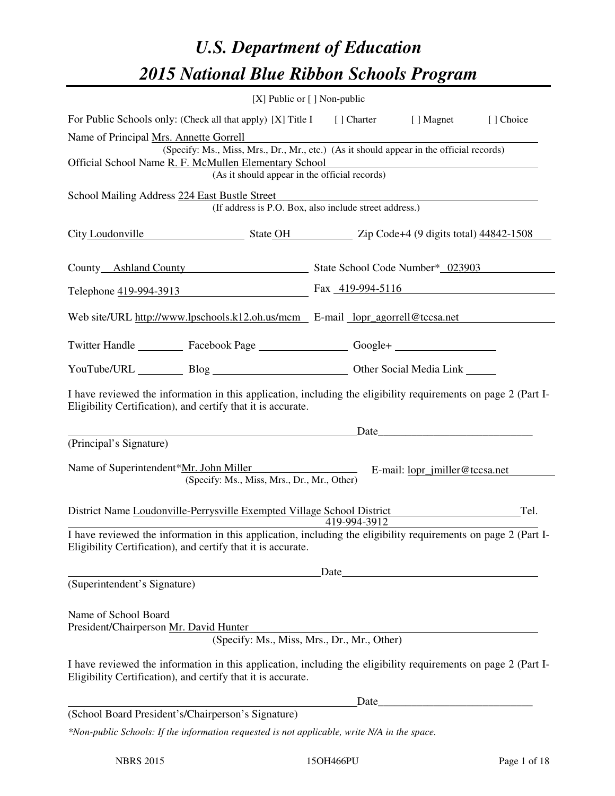# *U.S. Department of Education 2015 National Blue Ribbon Schools Program*

|                                                                                                                                                                                                                                                                                                                                                                        | [X] Public or [] Non-public                            |              |                                                                                                                                                                                                                                |                                                                                                                       |  |  |
|------------------------------------------------------------------------------------------------------------------------------------------------------------------------------------------------------------------------------------------------------------------------------------------------------------------------------------------------------------------------|--------------------------------------------------------|--------------|--------------------------------------------------------------------------------------------------------------------------------------------------------------------------------------------------------------------------------|-----------------------------------------------------------------------------------------------------------------------|--|--|
| For Public Schools only: (Check all that apply) [X] Title I [] Charter [] Magnet                                                                                                                                                                                                                                                                                       |                                                        |              |                                                                                                                                                                                                                                | [] Choice                                                                                                             |  |  |
| Name of Principal Mrs. Annette Gorrell<br>(Specify: Ms., Miss, Mrs., Dr., Mr., etc.) (As it should appear in the official records)<br>Official School Name R. F. McMullen Elementary School<br><u> 1989 - Johann Barn, mars ann an t-Amhain an t-Amhain ann an t-Amhain an t-Amhain an t-Amhain an t-Amhain an t-</u><br>(As it should appear in the official records) |                                                        |              |                                                                                                                                                                                                                                |                                                                                                                       |  |  |
| School Mailing Address 224 East Bustle Street                                                                                                                                                                                                                                                                                                                          |                                                        |              |                                                                                                                                                                                                                                |                                                                                                                       |  |  |
|                                                                                                                                                                                                                                                                                                                                                                        | (If address is P.O. Box, also include street address.) |              |                                                                                                                                                                                                                                |                                                                                                                       |  |  |
| City Loudonville State OH State OH Zip Code+4 (9 digits total) 44842-1508                                                                                                                                                                                                                                                                                              |                                                        |              |                                                                                                                                                                                                                                |                                                                                                                       |  |  |
| County Ashland County State School Code Number* 023903                                                                                                                                                                                                                                                                                                                 |                                                        |              |                                                                                                                                                                                                                                |                                                                                                                       |  |  |
| Telephone 419-994-3913 Fax 419-994-5116                                                                                                                                                                                                                                                                                                                                |                                                        |              |                                                                                                                                                                                                                                |                                                                                                                       |  |  |
| Web site/URL http://www.lpschools.k12.oh.us/mcm E-mail lopr agorrell@tccsa.net                                                                                                                                                                                                                                                                                         |                                                        |              |                                                                                                                                                                                                                                |                                                                                                                       |  |  |
| Twitter Handle ___________ Facebook Page ___________________ Google+ ____________                                                                                                                                                                                                                                                                                      |                                                        |              |                                                                                                                                                                                                                                |                                                                                                                       |  |  |
| YouTube/URL Blog Blog Discount Cher Social Media Link                                                                                                                                                                                                                                                                                                                  |                                                        |              |                                                                                                                                                                                                                                |                                                                                                                       |  |  |
| I have reviewed the information in this application, including the eligibility requirements on page 2 (Part I-<br>Eligibility Certification), and certify that it is accurate.                                                                                                                                                                                         |                                                        |              |                                                                                                                                                                                                                                |                                                                                                                       |  |  |
|                                                                                                                                                                                                                                                                                                                                                                        |                                                        |              | Date has a series of the series of the series of the series of the series of the series of the series of the series of the series of the series of the series of the series of the series of the series of the series of the s |                                                                                                                       |  |  |
| (Principal's Signature)                                                                                                                                                                                                                                                                                                                                                |                                                        |              |                                                                                                                                                                                                                                |                                                                                                                       |  |  |
| Name of Superintendent* <u>Mr. John Miller</u>                                                                                                                                                                                                                                                                                                                         | (Specify: Ms., Miss, Mrs., Dr., Mr., Other)            |              | E-mail: <u>lopr_jmiller@tccsa.net</u>                                                                                                                                                                                          |                                                                                                                       |  |  |
| District Name Loudonville-Perrysville Exempted Village School District                                                                                                                                                                                                                                                                                                 |                                                        | 419-994-3912 |                                                                                                                                                                                                                                | Tel.                                                                                                                  |  |  |
| I have reviewed the information in this application, including the eligibility requirements on page 2 (Part I-<br>Eligibility Certification), and certify that it is accurate.                                                                                                                                                                                         |                                                        |              |                                                                                                                                                                                                                                |                                                                                                                       |  |  |
|                                                                                                                                                                                                                                                                                                                                                                        |                                                        | Date         |                                                                                                                                                                                                                                |                                                                                                                       |  |  |
| (Superintendent's Signature)                                                                                                                                                                                                                                                                                                                                           |                                                        |              |                                                                                                                                                                                                                                |                                                                                                                       |  |  |
| Name of School Board<br>President/Chairperson Mr. David Hunter                                                                                                                                                                                                                                                                                                         | (Specify: Ms., Miss, Mrs., Dr., Mr., Other)            |              |                                                                                                                                                                                                                                |                                                                                                                       |  |  |
| I have reviewed the information in this application, including the eligibility requirements on page 2 (Part I-<br>Eligibility Certification), and certify that it is accurate.                                                                                                                                                                                         |                                                        |              |                                                                                                                                                                                                                                |                                                                                                                       |  |  |
|                                                                                                                                                                                                                                                                                                                                                                        |                                                        | Date         |                                                                                                                                                                                                                                | <u> 1980 - Johann Barn, mars ar breithinn ar breithinn ar breithinn an dùthchan an dùthchan an dùthchan an dùthch</u> |  |  |
| (School Board President's/Chairperson's Signature)                                                                                                                                                                                                                                                                                                                     |                                                        |              |                                                                                                                                                                                                                                |                                                                                                                       |  |  |
| *Non-public Schools: If the information requested is not applicable, write N/A in the space.                                                                                                                                                                                                                                                                           |                                                        |              |                                                                                                                                                                                                                                |                                                                                                                       |  |  |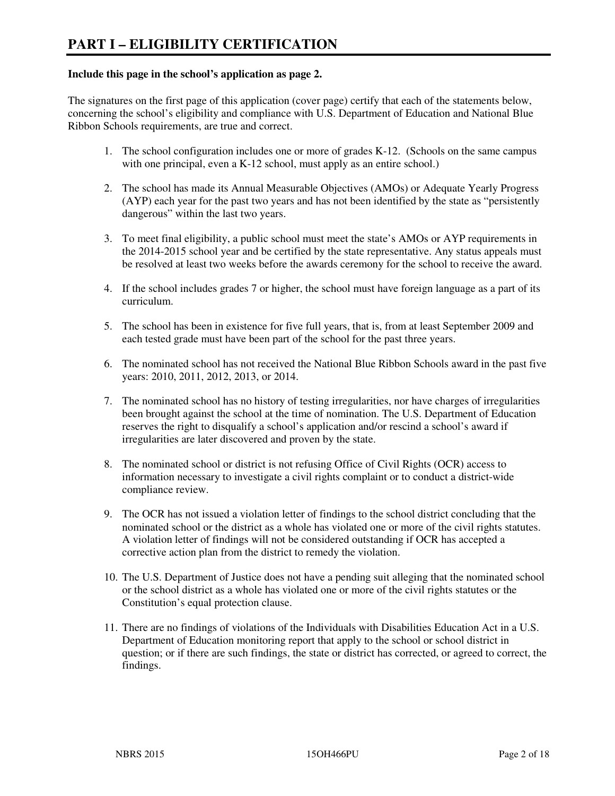#### **Include this page in the school's application as page 2.**

The signatures on the first page of this application (cover page) certify that each of the statements below, concerning the school's eligibility and compliance with U.S. Department of Education and National Blue Ribbon Schools requirements, are true and correct.

- 1. The school configuration includes one or more of grades K-12. (Schools on the same campus with one principal, even a K-12 school, must apply as an entire school.)
- 2. The school has made its Annual Measurable Objectives (AMOs) or Adequate Yearly Progress (AYP) each year for the past two years and has not been identified by the state as "persistently dangerous" within the last two years.
- 3. To meet final eligibility, a public school must meet the state's AMOs or AYP requirements in the 2014-2015 school year and be certified by the state representative. Any status appeals must be resolved at least two weeks before the awards ceremony for the school to receive the award.
- 4. If the school includes grades 7 or higher, the school must have foreign language as a part of its curriculum.
- 5. The school has been in existence for five full years, that is, from at least September 2009 and each tested grade must have been part of the school for the past three years.
- 6. The nominated school has not received the National Blue Ribbon Schools award in the past five years: 2010, 2011, 2012, 2013, or 2014.
- 7. The nominated school has no history of testing irregularities, nor have charges of irregularities been brought against the school at the time of nomination. The U.S. Department of Education reserves the right to disqualify a school's application and/or rescind a school's award if irregularities are later discovered and proven by the state.
- 8. The nominated school or district is not refusing Office of Civil Rights (OCR) access to information necessary to investigate a civil rights complaint or to conduct a district-wide compliance review.
- 9. The OCR has not issued a violation letter of findings to the school district concluding that the nominated school or the district as a whole has violated one or more of the civil rights statutes. A violation letter of findings will not be considered outstanding if OCR has accepted a corrective action plan from the district to remedy the violation.
- 10. The U.S. Department of Justice does not have a pending suit alleging that the nominated school or the school district as a whole has violated one or more of the civil rights statutes or the Constitution's equal protection clause.
- 11. There are no findings of violations of the Individuals with Disabilities Education Act in a U.S. Department of Education monitoring report that apply to the school or school district in question; or if there are such findings, the state or district has corrected, or agreed to correct, the findings.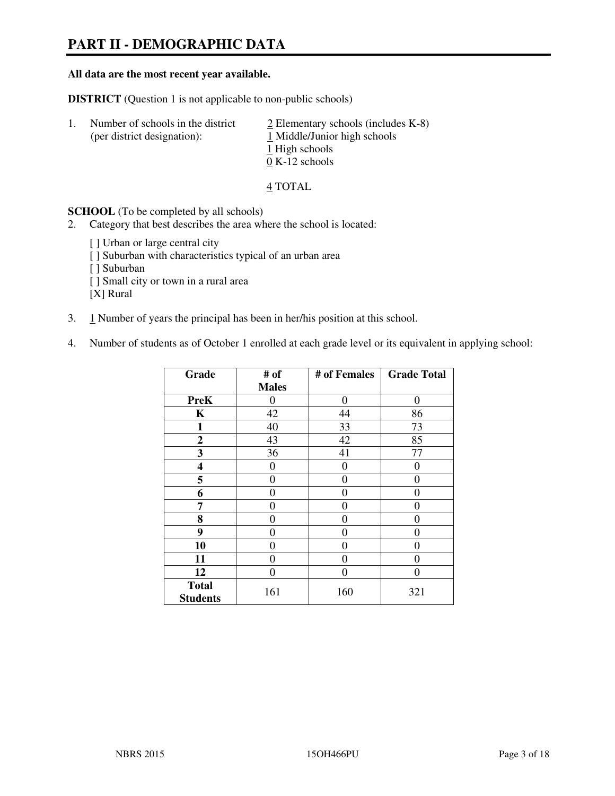# **PART II - DEMOGRAPHIC DATA**

#### **All data are the most recent year available.**

**DISTRICT** (Question 1 is not applicable to non-public schools)

| -1. | Number of schools in the district<br>(per district designation): | $\geq$ Elementary schools (includes K-8)<br>1 Middle/Junior high schools<br>1 High schools<br>$0 K-12$ schools |
|-----|------------------------------------------------------------------|----------------------------------------------------------------------------------------------------------------|
|     |                                                                  |                                                                                                                |

4 TOTAL

**SCHOOL** (To be completed by all schools)

2. Category that best describes the area where the school is located:

[ ] Urban or large central city [ ] Suburban with characteristics typical of an urban area [ ] Suburban [ ] Small city or town in a rural area [X] Rural

- 3. 1 Number of years the principal has been in her/his position at this school.
- 4. Number of students as of October 1 enrolled at each grade level or its equivalent in applying school:

| Grade                           | # of         | # of Females     | <b>Grade Total</b> |
|---------------------------------|--------------|------------------|--------------------|
|                                 | <b>Males</b> |                  |                    |
| <b>PreK</b>                     | $\theta$     | $\boldsymbol{0}$ | $\theta$           |
| K                               | 42           | 44               | 86                 |
| $\mathbf{1}$                    | 40           | 33               | 73                 |
| $\mathbf{2}$                    | 43           | 42               | 85                 |
| 3                               | 36           | 41               | 77                 |
| 4                               | 0            | $\theta$         | 0                  |
| 5                               | $\theta$     | 0                | 0                  |
| 6                               | 0            | 0                | 0                  |
| 7                               | 0            | $\overline{0}$   | 0                  |
| 8                               | 0            | 0                | 0                  |
| 9                               | $\theta$     | 0                | 0                  |
| 10                              | 0            | 0                | 0                  |
| 11                              | 0            | 0                | 0                  |
| 12                              | 0            | 0                | 0                  |
| <b>Total</b><br><b>Students</b> | 161          | 160              | 321                |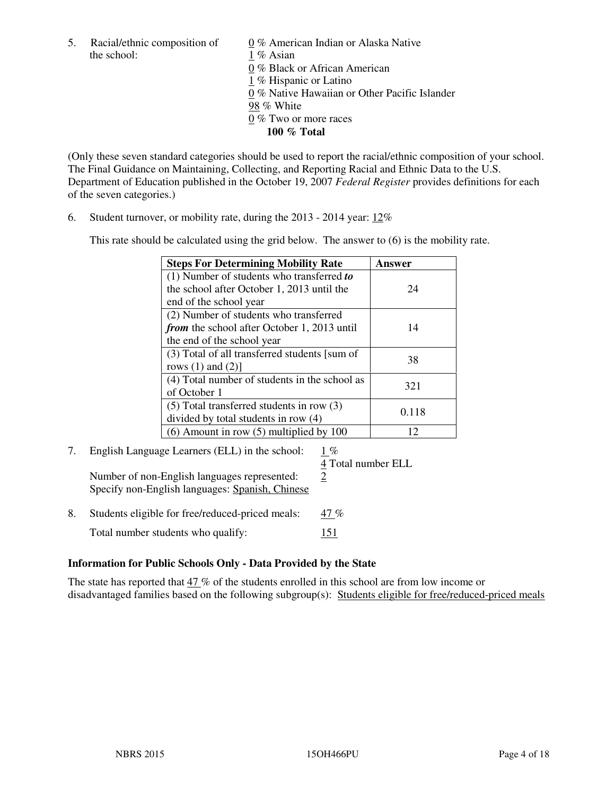the school: 1 % Asian

5. Racial/ethnic composition of  $0\%$  American Indian or Alaska Native 0 % Black or African American 1 % Hispanic or Latino 0 % Native Hawaiian or Other Pacific Islander 98 % White 0 % Two or more races **100 % Total** 

(Only these seven standard categories should be used to report the racial/ethnic composition of your school. The Final Guidance on Maintaining, Collecting, and Reporting Racial and Ethnic Data to the U.S. Department of Education published in the October 19, 2007 *Federal Register* provides definitions for each of the seven categories.)

6. Student turnover, or mobility rate, during the 2013 - 2014 year: 12%

This rate should be calculated using the grid below. The answer to (6) is the mobility rate.

| <b>Steps For Determining Mobility Rate</b>         | Answer |
|----------------------------------------------------|--------|
| $(1)$ Number of students who transferred to        |        |
| the school after October 1, 2013 until the         | 24     |
| end of the school year                             |        |
| (2) Number of students who transferred             |        |
| <i>from</i> the school after October 1, 2013 until | 14     |
| the end of the school year                         |        |
| (3) Total of all transferred students [sum of      | 38     |
| rows $(1)$ and $(2)$ ]                             |        |
| (4) Total number of students in the school as      | 321    |
| of October 1                                       |        |
| $(5)$ Total transferred students in row $(3)$      | 0.118  |
| divided by total students in row (4)               |        |
| $(6)$ Amount in row $(5)$ multiplied by 100        | 12     |

## 7. English Language Learners (ELL) in the school: 1 %

Number of non-English languages represented:  $2$ Specify non-English languages: Spanish, Chinese

4 Total number ELL

8. Students eligible for free/reduced-priced meals: 47 % Total number students who qualify: 151

## **Information for Public Schools Only - Data Provided by the State**

The state has reported that 47 % of the students enrolled in this school are from low income or disadvantaged families based on the following subgroup(s): Students eligible for free/reduced-priced meals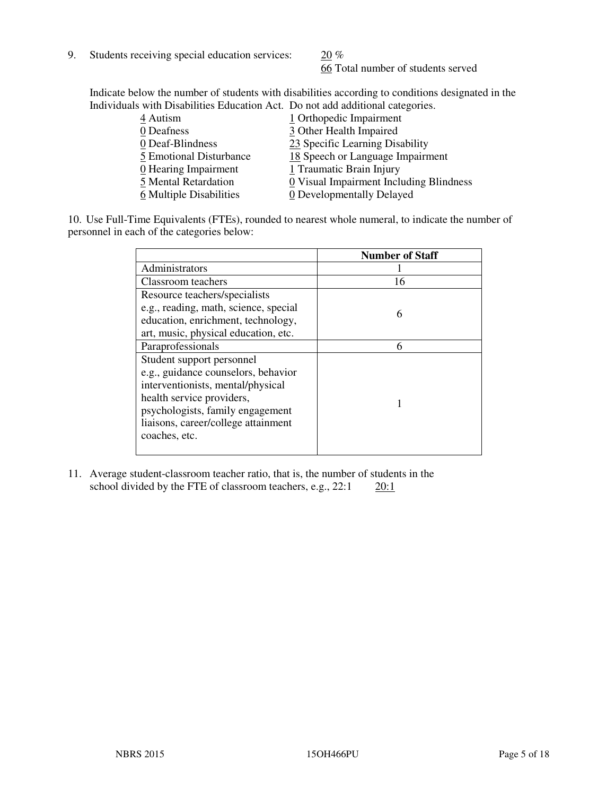9. Students receiving special education services:  $20\%$ 

66 Total number of students served

Indicate below the number of students with disabilities according to conditions designated in the Individuals with Disabilities Education Act. Do not add additional categories.

| 4 Autism                | 1 Orthopedic Impairment                 |
|-------------------------|-----------------------------------------|
| 0 Deafness              | 3 Other Health Impaired                 |
| 0 Deaf-Blindness        | 23 Specific Learning Disability         |
| 5 Emotional Disturbance | 18 Speech or Language Impairment        |
| 0 Hearing Impairment    | 1 Traumatic Brain Injury                |
| 5 Mental Retardation    | 0 Visual Impairment Including Blindness |
| 6 Multiple Disabilities | 0 Developmentally Delayed               |
|                         |                                         |

10. Use Full-Time Equivalents (FTEs), rounded to nearest whole numeral, to indicate the number of personnel in each of the categories below:

|                                       | <b>Number of Staff</b> |
|---------------------------------------|------------------------|
| Administrators                        |                        |
| Classroom teachers                    | 16                     |
| Resource teachers/specialists         |                        |
| e.g., reading, math, science, special | 6                      |
| education, enrichment, technology,    |                        |
| art, music, physical education, etc.  |                        |
| Paraprofessionals                     | 6                      |
| Student support personnel             |                        |
| e.g., guidance counselors, behavior   |                        |
| interventionists, mental/physical     |                        |
| health service providers,             |                        |
| psychologists, family engagement      |                        |
| liaisons, career/college attainment   |                        |
| coaches, etc.                         |                        |
|                                       |                        |

11. Average student-classroom teacher ratio, that is, the number of students in the school divided by the FTE of classroom teachers, e.g.,  $22:1$   $20:1$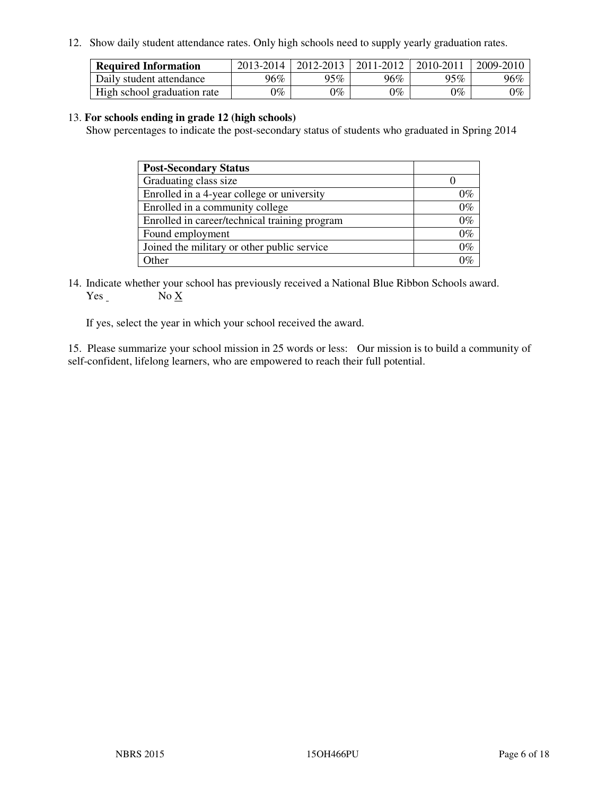12. Show daily student attendance rates. Only high schools need to supply yearly graduation rates.

| <b>Required Information</b> | 2013-2014     | 2012-2013       | 2011-2012 | 2010-2011 | 2009-2010 |
|-----------------------------|---------------|-----------------|-----------|-----------|-----------|
| Daily student attendance    | 96%           | $95\%$          | 96%       | 95%       | 96%       |
| High school graduation rate | $\gamma_{\%}$ | $\mathcal{V}_o$ | $0\%$     | 0%        | 0%        |

#### 13. **For schools ending in grade 12 (high schools)**

Show percentages to indicate the post-secondary status of students who graduated in Spring 2014

| <b>Post-Secondary Status</b>                  |       |
|-----------------------------------------------|-------|
| Graduating class size                         |       |
| Enrolled in a 4-year college or university    | በ‰    |
| Enrolled in a community college               | $0\%$ |
| Enrolled in career/technical training program | $0\%$ |
| Found employment                              | $0\%$ |
| Joined the military or other public service   | 0%    |
| Other                                         |       |

14. Indicate whether your school has previously received a National Blue Ribbon Schools award. Yes No X

If yes, select the year in which your school received the award.

15. Please summarize your school mission in 25 words or less: Our mission is to build a community of self-confident, lifelong learners, who are empowered to reach their full potential.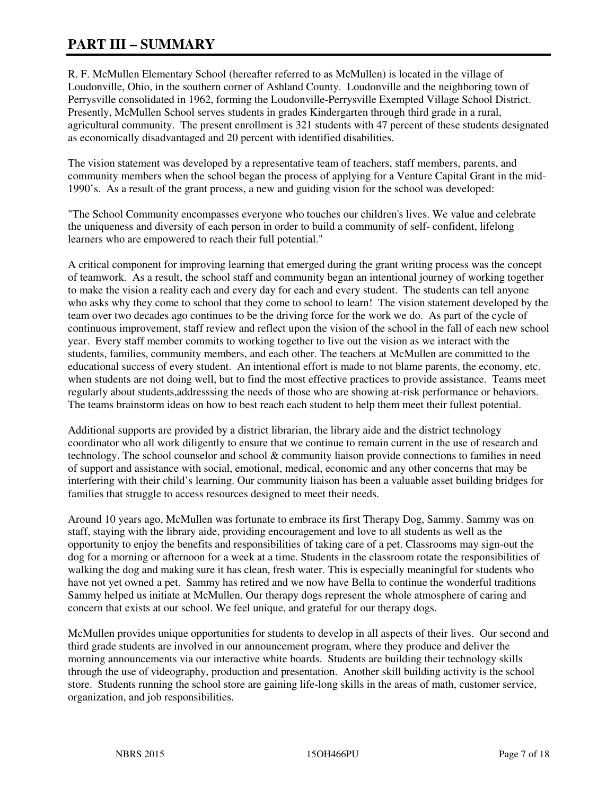# **PART III – SUMMARY**

R. F. McMullen Elementary School (hereafter referred to as McMullen) is located in the village of Loudonville, Ohio, in the southern corner of Ashland County. Loudonville and the neighboring town of Perrysville consolidated in 1962, forming the Loudonville-Perrysville Exempted Village School District. Presently, McMullen School serves students in grades Kindergarten through third grade in a rural, agricultural community. The present enrollment is 321 students with 47 percent of these students designated as economically disadvantaged and 20 percent with identified disabilities.

The vision statement was developed by a representative team of teachers, staff members, parents, and community members when the school began the process of applying for a Venture Capital Grant in the mid-1990's. As a result of the grant process, a new and guiding vision for the school was developed:

"The School Community encompasses everyone who touches our children's lives. We value and celebrate the uniqueness and diversity of each person in order to build a community of self- confident, lifelong learners who are empowered to reach their full potential."

A critical component for improving learning that emerged during the grant writing process was the concept of teamwork. As a result, the school staff and community began an intentional journey of working together to make the vision a reality each and every day for each and every student. The students can tell anyone who asks why they come to school that they come to school to learn! The vision statement developed by the team over two decades ago continues to be the driving force for the work we do. As part of the cycle of continuous improvement, staff review and reflect upon the vision of the school in the fall of each new school year. Every staff member commits to working together to live out the vision as we interact with the students, families, community members, and each other. The teachers at McMullen are committed to the educational success of every student. An intentional effort is made to not blame parents, the economy, etc. when students are not doing well, but to find the most effective practices to provide assistance. Teams meet regularly about students,addresssing the needs of those who are showing at-risk performance or behaviors. The teams brainstorm ideas on how to best reach each student to help them meet their fullest potential.

Additional supports are provided by a district librarian, the library aide and the district technology coordinator who all work diligently to ensure that we continue to remain current in the use of research and technology. The school counselor and school & community liaison provide connections to families in need of support and assistance with social, emotional, medical, economic and any other concerns that may be interfering with their child's learning. Our community liaison has been a valuable asset building bridges for families that struggle to access resources designed to meet their needs.

Around 10 years ago, McMullen was fortunate to embrace its first Therapy Dog, Sammy. Sammy was on staff, staying with the library aide, providing encouragement and love to all students as well as the opportunity to enjoy the benefits and responsibilities of taking care of a pet. Classrooms may sign-out the dog for a morning or afternoon for a week at a time. Students in the classroom rotate the responsibilities of walking the dog and making sure it has clean, fresh water. This is especially meaningful for students who have not yet owned a pet. Sammy has retired and we now have Bella to continue the wonderful traditions Sammy helped us initiate at McMullen. Our therapy dogs represent the whole atmosphere of caring and concern that exists at our school. We feel unique, and grateful for our therapy dogs.

McMullen provides unique opportunities for students to develop in all aspects of their lives. Our second and third grade students are involved in our announcement program, where they produce and deliver the morning announcements via our interactive white boards. Students are building their technology skills through the use of videography, production and presentation. Another skill building activity is the school store. Students running the school store are gaining life-long skills in the areas of math, customer service, organization, and job responsibilities.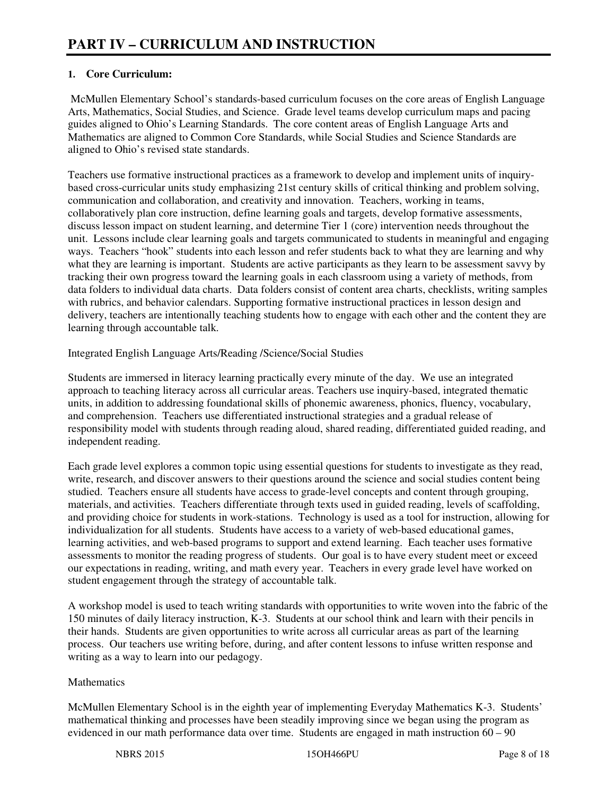## **1. Core Curriculum:**

 McMullen Elementary School's standards-based curriculum focuses on the core areas of English Language Arts, Mathematics, Social Studies, and Science. Grade level teams develop curriculum maps and pacing guides aligned to Ohio's Learning Standards. The core content areas of English Language Arts and Mathematics are aligned to Common Core Standards, while Social Studies and Science Standards are aligned to Ohio's revised state standards.

Teachers use formative instructional practices as a framework to develop and implement units of inquirybased cross-curricular units study emphasizing 21st century skills of critical thinking and problem solving, communication and collaboration, and creativity and innovation. Teachers, working in teams, collaboratively plan core instruction, define learning goals and targets, develop formative assessments, discuss lesson impact on student learning, and determine Tier 1 (core) intervention needs throughout the unit. Lessons include clear learning goals and targets communicated to students in meaningful and engaging ways. Teachers "hook" students into each lesson and refer students back to what they are learning and why what they are learning is important. Students are active participants as they learn to be assessment savvy by tracking their own progress toward the learning goals in each classroom using a variety of methods, from data folders to individual data charts. Data folders consist of content area charts, checklists, writing samples with rubrics, and behavior calendars. Supporting formative instructional practices in lesson design and delivery, teachers are intentionally teaching students how to engage with each other and the content they are learning through accountable talk.

Integrated English Language Arts/Reading /Science/Social Studies

Students are immersed in literacy learning practically every minute of the day. We use an integrated approach to teaching literacy across all curricular areas. Teachers use inquiry-based, integrated thematic units, in addition to addressing foundational skills of phonemic awareness, phonics, fluency, vocabulary, and comprehension. Teachers use differentiated instructional strategies and a gradual release of responsibility model with students through reading aloud, shared reading, differentiated guided reading, and independent reading.

Each grade level explores a common topic using essential questions for students to investigate as they read, write, research, and discover answers to their questions around the science and social studies content being studied. Teachers ensure all students have access to grade-level concepts and content through grouping, materials, and activities. Teachers differentiate through texts used in guided reading, levels of scaffolding, and providing choice for students in work-stations. Technology is used as a tool for instruction, allowing for individualization for all students. Students have access to a variety of web-based educational games, learning activities, and web-based programs to support and extend learning. Each teacher uses formative assessments to monitor the reading progress of students. Our goal is to have every student meet or exceed our expectations in reading, writing, and math every year. Teachers in every grade level have worked on student engagement through the strategy of accountable talk.

A workshop model is used to teach writing standards with opportunities to write woven into the fabric of the 150 minutes of daily literacy instruction, K-3. Students at our school think and learn with their pencils in their hands. Students are given opportunities to write across all curricular areas as part of the learning process. Our teachers use writing before, during, and after content lessons to infuse written response and writing as a way to learn into our pedagogy.

## **Mathematics**

McMullen Elementary School is in the eighth year of implementing Everyday Mathematics K-3. Students' mathematical thinking and processes have been steadily improving since we began using the program as evidenced in our math performance data over time. Students are engaged in math instruction 60 – 90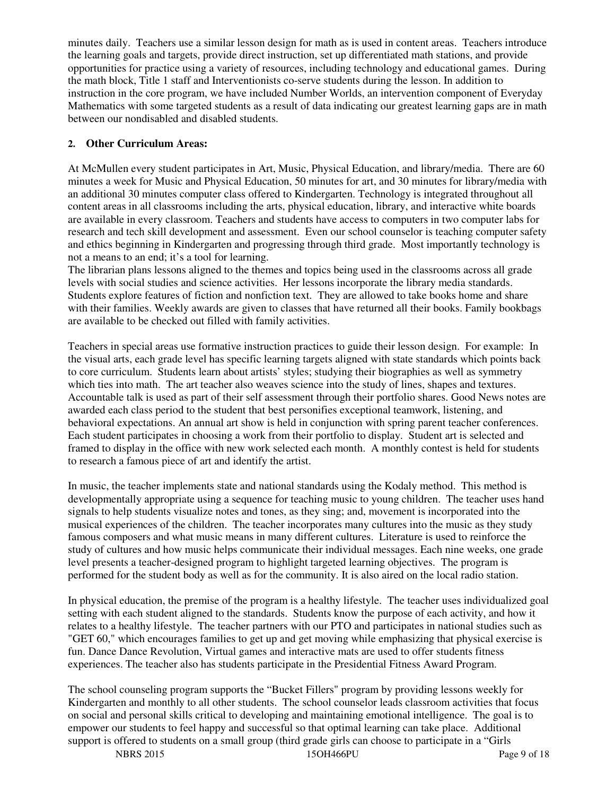minutes daily. Teachers use a similar lesson design for math as is used in content areas. Teachers introduce the learning goals and targets, provide direct instruction, set up differentiated math stations, and provide opportunities for practice using a variety of resources, including technology and educational games. During the math block, Title 1 staff and Interventionists co-serve students during the lesson. In addition to instruction in the core program, we have included Number Worlds, an intervention component of Everyday Mathematics with some targeted students as a result of data indicating our greatest learning gaps are in math between our nondisabled and disabled students.

#### **2. Other Curriculum Areas:**

At McMullen every student participates in Art, Music, Physical Education, and library/media. There are 60 minutes a week for Music and Physical Education, 50 minutes for art, and 30 minutes for library/media with an additional 30 minutes computer class offered to Kindergarten. Technology is integrated throughout all content areas in all classrooms including the arts, physical education, library, and interactive white boards are available in every classroom. Teachers and students have access to computers in two computer labs for research and tech skill development and assessment. Even our school counselor is teaching computer safety and ethics beginning in Kindergarten and progressing through third grade. Most importantly technology is not a means to an end; it's a tool for learning.

The librarian plans lessons aligned to the themes and topics being used in the classrooms across all grade levels with social studies and science activities. Her lessons incorporate the library media standards. Students explore features of fiction and nonfiction text. They are allowed to take books home and share with their families. Weekly awards are given to classes that have returned all their books. Family bookbags are available to be checked out filled with family activities.

Teachers in special areas use formative instruction practices to guide their lesson design. For example: In the visual arts, each grade level has specific learning targets aligned with state standards which points back to core curriculum. Students learn about artists' styles; studying their biographies as well as symmetry which ties into math. The art teacher also weaves science into the study of lines, shapes and textures. Accountable talk is used as part of their self assessment through their portfolio shares. Good News notes are awarded each class period to the student that best personifies exceptional teamwork, listening, and behavioral expectations. An annual art show is held in conjunction with spring parent teacher conferences. Each student participates in choosing a work from their portfolio to display. Student art is selected and framed to display in the office with new work selected each month. A monthly contest is held for students to research a famous piece of art and identify the artist.

In music, the teacher implements state and national standards using the Kodaly method. This method is developmentally appropriate using a sequence for teaching music to young children. The teacher uses hand signals to help students visualize notes and tones, as they sing; and, movement is incorporated into the musical experiences of the children. The teacher incorporates many cultures into the music as they study famous composers and what music means in many different cultures. Literature is used to reinforce the study of cultures and how music helps communicate their individual messages. Each nine weeks, one grade level presents a teacher-designed program to highlight targeted learning objectives. The program is performed for the student body as well as for the community. It is also aired on the local radio station.

In physical education, the premise of the program is a healthy lifestyle. The teacher uses individualized goal setting with each student aligned to the standards. Students know the purpose of each activity, and how it relates to a healthy lifestyle. The teacher partners with our PTO and participates in national studies such as "GET 60," which encourages families to get up and get moving while emphasizing that physical exercise is fun. Dance Dance Revolution, Virtual games and interactive mats are used to offer students fitness experiences. The teacher also has students participate in the Presidential Fitness Award Program.

The school counseling program supports the "Bucket Fillers" program by providing lessons weekly for Kindergarten and monthly to all other students. The school counselor leads classroom activities that focus on social and personal skills critical to developing and maintaining emotional intelligence. The goal is to empower our students to feel happy and successful so that optimal learning can take place. Additional support is offered to students on a small group (third grade girls can choose to participate in a "Girls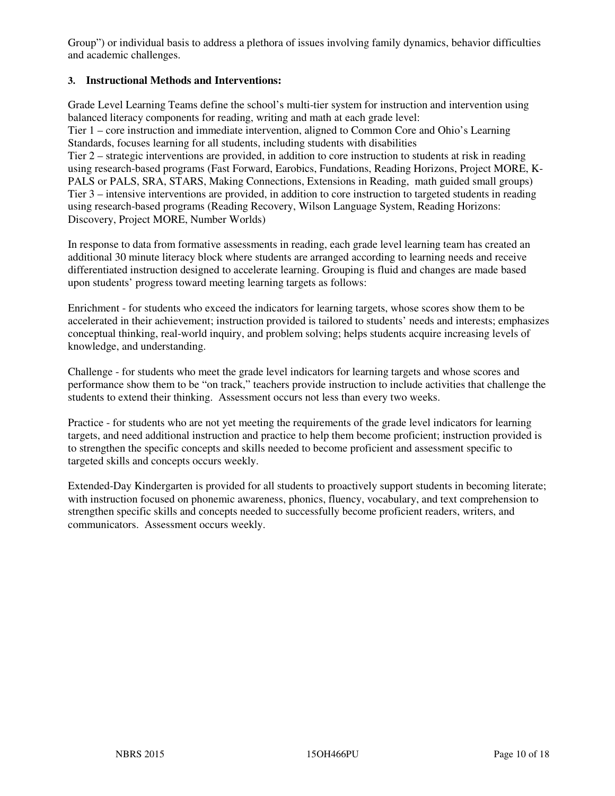Group") or individual basis to address a plethora of issues involving family dynamics, behavior difficulties and academic challenges.

#### **3. Instructional Methods and Interventions:**

Grade Level Learning Teams define the school's multi-tier system for instruction and intervention using balanced literacy components for reading, writing and math at each grade level: Tier 1 – core instruction and immediate intervention, aligned to Common Core and Ohio's Learning Standards, focuses learning for all students, including students with disabilities Tier 2 – strategic interventions are provided, in addition to core instruction to students at risk in reading using research-based programs (Fast Forward, Earobics, Fundations, Reading Horizons, Project MORE, K-PALS or PALS, SRA, STARS, Making Connections, Extensions in Reading, math guided small groups) Tier 3 – intensive interventions are provided, in addition to core instruction to targeted students in reading using research-based programs (Reading Recovery, Wilson Language System, Reading Horizons: Discovery, Project MORE, Number Worlds)

In response to data from formative assessments in reading, each grade level learning team has created an additional 30 minute literacy block where students are arranged according to learning needs and receive differentiated instruction designed to accelerate learning. Grouping is fluid and changes are made based upon students' progress toward meeting learning targets as follows:

Enrichment - for students who exceed the indicators for learning targets, whose scores show them to be accelerated in their achievement; instruction provided is tailored to students' needs and interests; emphasizes conceptual thinking, real-world inquiry, and problem solving; helps students acquire increasing levels of knowledge, and understanding.

Challenge - for students who meet the grade level indicators for learning targets and whose scores and performance show them to be "on track," teachers provide instruction to include activities that challenge the students to extend their thinking. Assessment occurs not less than every two weeks.

Practice - for students who are not yet meeting the requirements of the grade level indicators for learning targets, and need additional instruction and practice to help them become proficient; instruction provided is to strengthen the specific concepts and skills needed to become proficient and assessment specific to targeted skills and concepts occurs weekly.

Extended-Day Kindergarten is provided for all students to proactively support students in becoming literate; with instruction focused on phonemic awareness, phonics, fluency, vocabulary, and text comprehension to strengthen specific skills and concepts needed to successfully become proficient readers, writers, and communicators. Assessment occurs weekly.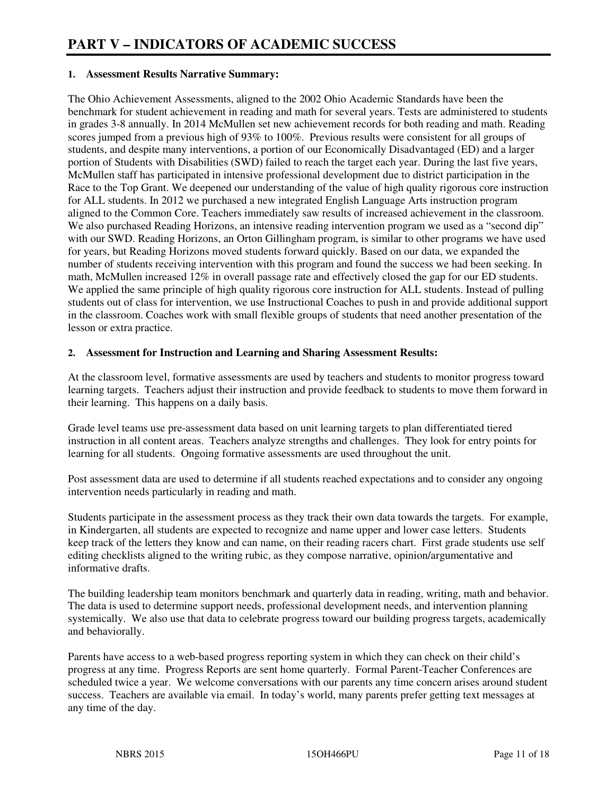#### **1. Assessment Results Narrative Summary:**

The Ohio Achievement Assessments, aligned to the 2002 Ohio Academic Standards have been the benchmark for student achievement in reading and math for several years. Tests are administered to students in grades 3-8 annually. In 2014 McMullen set new achievement records for both reading and math. Reading scores jumped from a previous high of 93% to 100%. Previous results were consistent for all groups of students, and despite many interventions, a portion of our Economically Disadvantaged (ED) and a larger portion of Students with Disabilities (SWD) failed to reach the target each year. During the last five years, McMullen staff has participated in intensive professional development due to district participation in the Race to the Top Grant. We deepened our understanding of the value of high quality rigorous core instruction for ALL students. In 2012 we purchased a new integrated English Language Arts instruction program aligned to the Common Core. Teachers immediately saw results of increased achievement in the classroom. We also purchased Reading Horizons, an intensive reading intervention program we used as a "second dip" with our SWD. Reading Horizons, an Orton Gillingham program, is similar to other programs we have used for years, but Reading Horizons moved students forward quickly. Based on our data, we expanded the number of students receiving intervention with this program and found the success we had been seeking. In math, McMullen increased 12% in overall passage rate and effectively closed the gap for our ED students. We applied the same principle of high quality rigorous core instruction for ALL students. Instead of pulling students out of class for intervention, we use Instructional Coaches to push in and provide additional support in the classroom. Coaches work with small flexible groups of students that need another presentation of the lesson or extra practice.

#### **2. Assessment for Instruction and Learning and Sharing Assessment Results:**

At the classroom level, formative assessments are used by teachers and students to monitor progress toward learning targets. Teachers adjust their instruction and provide feedback to students to move them forward in their learning. This happens on a daily basis.

Grade level teams use pre-assessment data based on unit learning targets to plan differentiated tiered instruction in all content areas. Teachers analyze strengths and challenges. They look for entry points for learning for all students. Ongoing formative assessments are used throughout the unit.

Post assessment data are used to determine if all students reached expectations and to consider any ongoing intervention needs particularly in reading and math.

Students participate in the assessment process as they track their own data towards the targets. For example, in Kindergarten, all students are expected to recognize and name upper and lower case letters. Students keep track of the letters they know and can name, on their reading racers chart. First grade students use self editing checklists aligned to the writing rubic, as they compose narrative, opinion/argumentative and informative drafts.

The building leadership team monitors benchmark and quarterly data in reading, writing, math and behavior. The data is used to determine support needs, professional development needs, and intervention planning systemically. We also use that data to celebrate progress toward our building progress targets, academically and behaviorally.

Parents have access to a web-based progress reporting system in which they can check on their child's progress at any time. Progress Reports are sent home quarterly. Formal Parent-Teacher Conferences are scheduled twice a year. We welcome conversations with our parents any time concern arises around student success. Teachers are available via email. In today's world, many parents prefer getting text messages at any time of the day.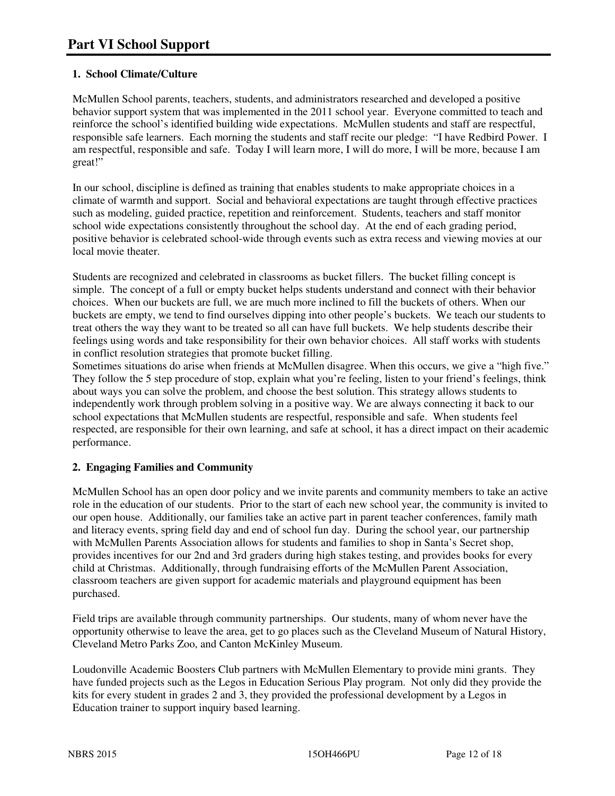## **1. School Climate/Culture**

McMullen School parents, teachers, students, and administrators researched and developed a positive behavior support system that was implemented in the 2011 school year. Everyone committed to teach and reinforce the school's identified building wide expectations. McMullen students and staff are respectful, responsible safe learners. Each morning the students and staff recite our pledge: "I have Redbird Power. I am respectful, responsible and safe. Today I will learn more, I will do more, I will be more, because I am great!"

In our school, discipline is defined as training that enables students to make appropriate choices in a climate of warmth and support. Social and behavioral expectations are taught through effective practices such as modeling, guided practice, repetition and reinforcement. Students, teachers and staff monitor school wide expectations consistently throughout the school day. At the end of each grading period, positive behavior is celebrated school-wide through events such as extra recess and viewing movies at our local movie theater.

Students are recognized and celebrated in classrooms as bucket fillers. The bucket filling concept is simple. The concept of a full or empty bucket helps students understand and connect with their behavior choices. When our buckets are full, we are much more inclined to fill the buckets of others. When our buckets are empty, we tend to find ourselves dipping into other people's buckets. We teach our students to treat others the way they want to be treated so all can have full buckets. We help students describe their feelings using words and take responsibility for their own behavior choices. All staff works with students in conflict resolution strategies that promote bucket filling.

Sometimes situations do arise when friends at McMullen disagree. When this occurs, we give a "high five." They follow the 5 step procedure of stop, explain what you're feeling, listen to your friend's feelings, think about ways you can solve the problem, and choose the best solution. This strategy allows students to independently work through problem solving in a positive way. We are always connecting it back to our school expectations that McMullen students are respectful, responsible and safe. When students feel respected, are responsible for their own learning, and safe at school, it has a direct impact on their academic performance.

## **2. Engaging Families and Community**

McMullen School has an open door policy and we invite parents and community members to take an active role in the education of our students. Prior to the start of each new school year, the community is invited to our open house. Additionally, our families take an active part in parent teacher conferences, family math and literacy events, spring field day and end of school fun day. During the school year, our partnership with McMullen Parents Association allows for students and families to shop in Santa's Secret shop, provides incentives for our 2nd and 3rd graders during high stakes testing, and provides books for every child at Christmas. Additionally, through fundraising efforts of the McMullen Parent Association, classroom teachers are given support for academic materials and playground equipment has been purchased.

Field trips are available through community partnerships. Our students, many of whom never have the opportunity otherwise to leave the area, get to go places such as the Cleveland Museum of Natural History, Cleveland Metro Parks Zoo, and Canton McKinley Museum.

Loudonville Academic Boosters Club partners with McMullen Elementary to provide mini grants. They have funded projects such as the Legos in Education Serious Play program. Not only did they provide the kits for every student in grades 2 and 3, they provided the professional development by a Legos in Education trainer to support inquiry based learning.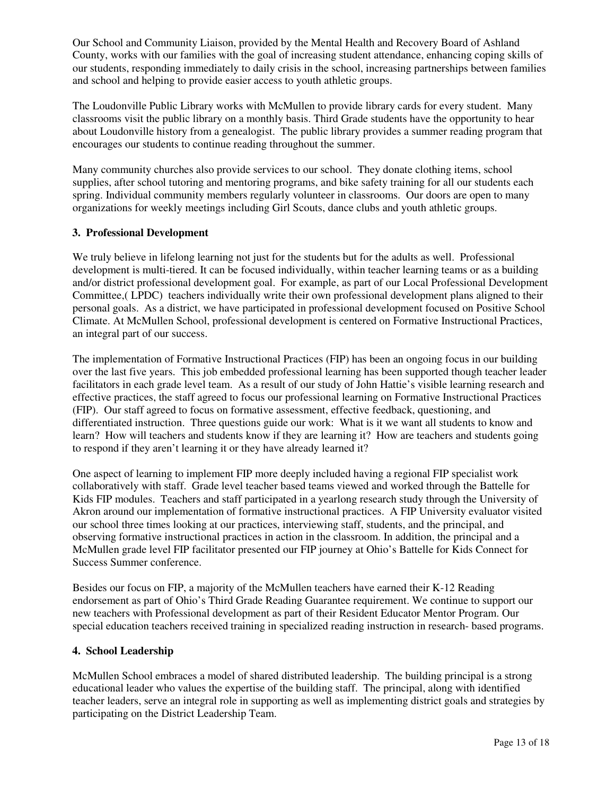Our School and Community Liaison, provided by the Mental Health and Recovery Board of Ashland County, works with our families with the goal of increasing student attendance, enhancing coping skills of our students, responding immediately to daily crisis in the school, increasing partnerships between families and school and helping to provide easier access to youth athletic groups.

The Loudonville Public Library works with McMullen to provide library cards for every student. Many classrooms visit the public library on a monthly basis. Third Grade students have the opportunity to hear about Loudonville history from a genealogist. The public library provides a summer reading program that encourages our students to continue reading throughout the summer.

Many community churches also provide services to our school. They donate clothing items, school supplies, after school tutoring and mentoring programs, and bike safety training for all our students each spring. Individual community members regularly volunteer in classrooms. Our doors are open to many organizations for weekly meetings including Girl Scouts, dance clubs and youth athletic groups.

#### **3. Professional Development**

We truly believe in lifelong learning not just for the students but for the adults as well. Professional development is multi-tiered. It can be focused individually, within teacher learning teams or as a building and/or district professional development goal. For example, as part of our Local Professional Development Committee,( LPDC) teachers individually write their own professional development plans aligned to their personal goals. As a district, we have participated in professional development focused on Positive School Climate. At McMullen School, professional development is centered on Formative Instructional Practices, an integral part of our success.

The implementation of Formative Instructional Practices (FIP) has been an ongoing focus in our building over the last five years. This job embedded professional learning has been supported though teacher leader facilitators in each grade level team. As a result of our study of John Hattie's visible learning research and effective practices, the staff agreed to focus our professional learning on Formative Instructional Practices (FIP). Our staff agreed to focus on formative assessment, effective feedback, questioning, and differentiated instruction. Three questions guide our work: What is it we want all students to know and learn? How will teachers and students know if they are learning it? How are teachers and students going to respond if they aren't learning it or they have already learned it?

One aspect of learning to implement FIP more deeply included having a regional FIP specialist work collaboratively with staff. Grade level teacher based teams viewed and worked through the Battelle for Kids FIP modules. Teachers and staff participated in a yearlong research study through the University of Akron around our implementation of formative instructional practices. A FIP University evaluator visited our school three times looking at our practices, interviewing staff, students, and the principal, and observing formative instructional practices in action in the classroom. In addition, the principal and a McMullen grade level FIP facilitator presented our FIP journey at Ohio's Battelle for Kids Connect for Success Summer conference.

Besides our focus on FIP, a majority of the McMullen teachers have earned their K-12 Reading endorsement as part of Ohio's Third Grade Reading Guarantee requirement. We continue to support our new teachers with Professional development as part of their Resident Educator Mentor Program. Our special education teachers received training in specialized reading instruction in research- based programs.

#### **4. School Leadership**

McMullen School embraces a model of shared distributed leadership. The building principal is a strong educational leader who values the expertise of the building staff. The principal, along with identified teacher leaders, serve an integral role in supporting as well as implementing district goals and strategies by participating on the District Leadership Team.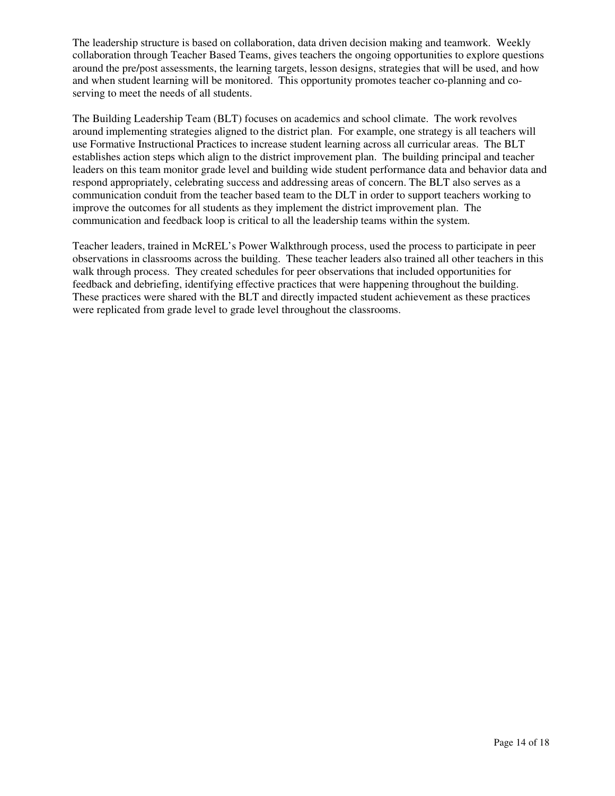The leadership structure is based on collaboration, data driven decision making and teamwork. Weekly collaboration through Teacher Based Teams, gives teachers the ongoing opportunities to explore questions around the pre/post assessments, the learning targets, lesson designs, strategies that will be used, and how and when student learning will be monitored. This opportunity promotes teacher co-planning and coserving to meet the needs of all students.

The Building Leadership Team (BLT) focuses on academics and school climate. The work revolves around implementing strategies aligned to the district plan. For example, one strategy is all teachers will use Formative Instructional Practices to increase student learning across all curricular areas. The BLT establishes action steps which align to the district improvement plan. The building principal and teacher leaders on this team monitor grade level and building wide student performance data and behavior data and respond appropriately, celebrating success and addressing areas of concern. The BLT also serves as a communication conduit from the teacher based team to the DLT in order to support teachers working to improve the outcomes for all students as they implement the district improvement plan. The communication and feedback loop is critical to all the leadership teams within the system.

Teacher leaders, trained in McREL's Power Walkthrough process, used the process to participate in peer observations in classrooms across the building. These teacher leaders also trained all other teachers in this walk through process. They created schedules for peer observations that included opportunities for feedback and debriefing, identifying effective practices that were happening throughout the building. These practices were shared with the BLT and directly impacted student achievement as these practices were replicated from grade level to grade level throughout the classrooms.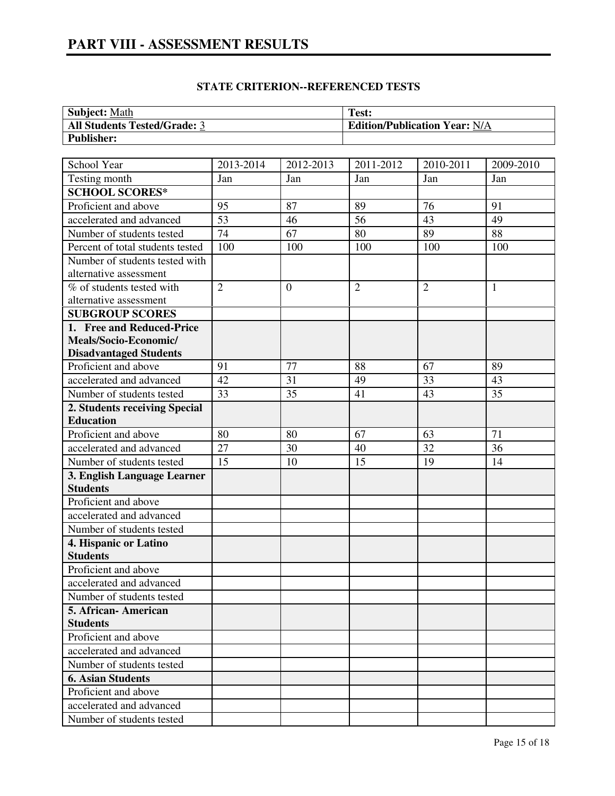# **PART VIII - ASSESSMENT RESULTS**

## **STATE CRITERION--REFERENCED TESTS**

| <b>Subject: Math</b>                | Test:                                |
|-------------------------------------|--------------------------------------|
| <b>All Students Tested/Grade: 3</b> | <b>Edition/Publication Year: N/A</b> |
| <b>Publisher:</b>                   |                                      |

| School Year                             | 2013-2014       | 2012-2013      | 2011-2012      | 2010-2011      | 2009-2010    |
|-----------------------------------------|-----------------|----------------|----------------|----------------|--------------|
| Testing month                           | Jan             | Jan            | Jan            | Jan            | Jan          |
| <b>SCHOOL SCORES*</b>                   |                 |                |                |                |              |
| Proficient and above                    | 95              | 87             | 89             | 76             | 91           |
| accelerated and advanced                | $\overline{53}$ | 46             | 56             | 43             | 49           |
| Number of students tested               | 74              | 67             | 80             | 89             | 88           |
| Percent of total students tested        | 100             | 100            | 100            | 100            | 100          |
| Number of students tested with          |                 |                |                |                |              |
| alternative assessment                  |                 |                |                |                |              |
| $\overline{\%}$ of students tested with | $\overline{2}$  | $\overline{0}$ | $\overline{2}$ | $\overline{2}$ | $\mathbf{1}$ |
| alternative assessment                  |                 |                |                |                |              |
| <b>SUBGROUP SCORES</b>                  |                 |                |                |                |              |
| 1. Free and Reduced-Price               |                 |                |                |                |              |
| Meals/Socio-Economic/                   |                 |                |                |                |              |
| <b>Disadvantaged Students</b>           |                 |                |                |                |              |
| Proficient and above                    | 91              | 77             | 88             | 67             | 89           |
| accelerated and advanced                | 42              | 31             | 49             | 33             | 43           |
| Number of students tested               | 33              | 35             | 41             | 43             | 35           |
| 2. Students receiving Special           |                 |                |                |                |              |
| <b>Education</b>                        |                 |                |                |                |              |
| Proficient and above                    | 80              | 80             | 67             | 63             | 71           |
| accelerated and advanced                | 27              | 30             | 40             | 32             | 36           |
| Number of students tested               | 15              | 10             | 15             | 19             | 14           |
| 3. English Language Learner             |                 |                |                |                |              |
| <b>Students</b>                         |                 |                |                |                |              |
| Proficient and above                    |                 |                |                |                |              |
| accelerated and advanced                |                 |                |                |                |              |
| Number of students tested               |                 |                |                |                |              |
| 4. Hispanic or Latino                   |                 |                |                |                |              |
| <b>Students</b>                         |                 |                |                |                |              |
| Proficient and above                    |                 |                |                |                |              |
| accelerated and advanced                |                 |                |                |                |              |
| Number of students tested               |                 |                |                |                |              |
| 5. African-American                     |                 |                |                |                |              |
| <b>Students</b>                         |                 |                |                |                |              |
| Proficient and above                    |                 |                |                |                |              |
| accelerated and advanced                |                 |                |                |                |              |
| Number of students tested               |                 |                |                |                |              |
| <b>6. Asian Students</b>                |                 |                |                |                |              |
| Proficient and above                    |                 |                |                |                |              |
| accelerated and advanced                |                 |                |                |                |              |
| Number of students tested               |                 |                |                |                |              |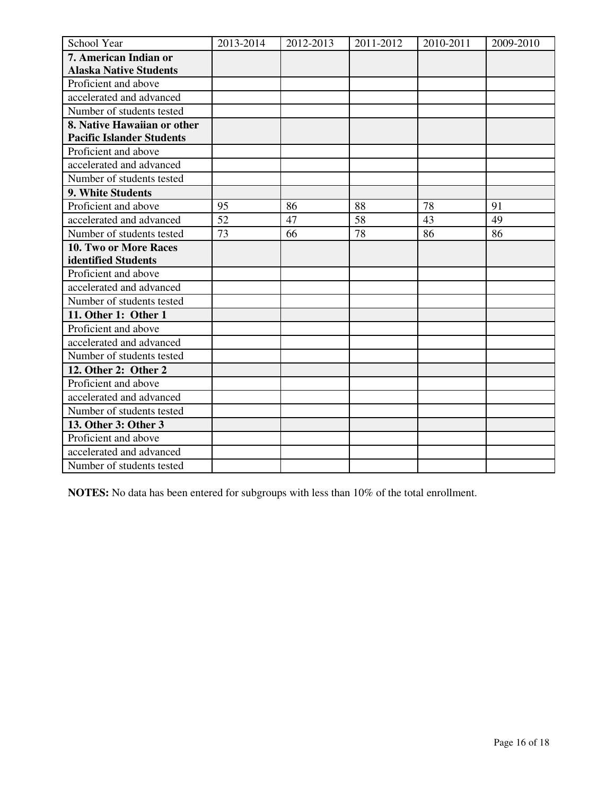| School Year                      | 2013-2014 | 2012-2013 | 2011-2012 | 2010-2011 | 2009-2010 |
|----------------------------------|-----------|-----------|-----------|-----------|-----------|
| 7. American Indian or            |           |           |           |           |           |
| <b>Alaska Native Students</b>    |           |           |           |           |           |
| Proficient and above             |           |           |           |           |           |
| accelerated and advanced         |           |           |           |           |           |
| Number of students tested        |           |           |           |           |           |
| 8. Native Hawaiian or other      |           |           |           |           |           |
| <b>Pacific Islander Students</b> |           |           |           |           |           |
| Proficient and above             |           |           |           |           |           |
| accelerated and advanced         |           |           |           |           |           |
| Number of students tested        |           |           |           |           |           |
| 9. White Students                |           |           |           |           |           |
| Proficient and above             | 95        | 86        | 88        | 78        | 91        |
| accelerated and advanced         | 52        | 47        | 58        | 43        | 49        |
| Number of students tested        | 73        | 66        | 78        | 86        | 86        |
| 10. Two or More Races            |           |           |           |           |           |
| identified Students              |           |           |           |           |           |
| Proficient and above             |           |           |           |           |           |
| accelerated and advanced         |           |           |           |           |           |
| Number of students tested        |           |           |           |           |           |
| 11. Other 1: Other 1             |           |           |           |           |           |
| Proficient and above             |           |           |           |           |           |
| accelerated and advanced         |           |           |           |           |           |
| Number of students tested        |           |           |           |           |           |
| 12. Other 2: Other 2             |           |           |           |           |           |
| Proficient and above             |           |           |           |           |           |
| accelerated and advanced         |           |           |           |           |           |
| Number of students tested        |           |           |           |           |           |
| 13. Other 3: Other 3             |           |           |           |           |           |
| Proficient and above             |           |           |           |           |           |
| accelerated and advanced         |           |           |           |           |           |
| Number of students tested        |           |           |           |           |           |

**NOTES:** No data has been entered for subgroups with less than 10% of the total enrollment.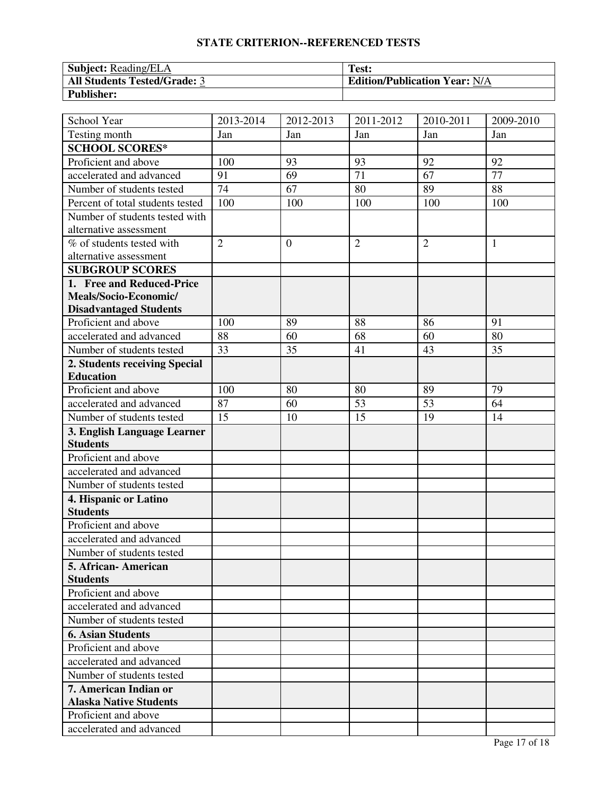## **STATE CRITERION--REFERENCED TESTS**

| <b>Subject: Reading/ELA</b>         | Test:                                |
|-------------------------------------|--------------------------------------|
| <b>All Students Tested/Grade: 3</b> | <b>Edition/Publication Year: N/A</b> |
| <b>Publisher:</b>                   |                                      |

| School Year                      | 2013-2014      | 2012-2013      | 2011-2012      | 2010-2011      | 2009-2010    |
|----------------------------------|----------------|----------------|----------------|----------------|--------------|
| Testing month                    | Jan            | Jan            | Jan            | Jan            | Jan          |
| <b>SCHOOL SCORES*</b>            |                |                |                |                |              |
| Proficient and above             | 100            | 93             | 93             | 92             | 92           |
| accelerated and advanced         | 91             | 69             | 71             | 67             | 77           |
| Number of students tested        | 74             | 67             | 80             | 89             | 88           |
| Percent of total students tested | 100            | 100            | 100            | 100            | 100          |
| Number of students tested with   |                |                |                |                |              |
| alternative assessment           |                |                |                |                |              |
| % of students tested with        | $\overline{2}$ | $\overline{0}$ | $\overline{2}$ | $\overline{2}$ | $\mathbf{1}$ |
| alternative assessment           |                |                |                |                |              |
| <b>SUBGROUP SCORES</b>           |                |                |                |                |              |
| 1. Free and Reduced-Price        |                |                |                |                |              |
| Meals/Socio-Economic/            |                |                |                |                |              |
| <b>Disadvantaged Students</b>    |                |                |                |                |              |
| Proficient and above             | 100            | 89             | 88             | 86             | 91           |
| accelerated and advanced         | 88             | 60             | 68             | 60             | 80           |
| Number of students tested        | 33             | 35             | 41             | 43             | 35           |
| 2. Students receiving Special    |                |                |                |                |              |
| <b>Education</b>                 |                |                |                |                |              |
| Proficient and above             | 100            | 80             | 80             | 89             | 79           |
| accelerated and advanced         | 87             | 60             | 53             | 53             | 64           |
| Number of students tested        | 15             | 10             | 15             | 19             | 14           |
| 3. English Language Learner      |                |                |                |                |              |
| <b>Students</b>                  |                |                |                |                |              |
| Proficient and above             |                |                |                |                |              |
| accelerated and advanced         |                |                |                |                |              |
| Number of students tested        |                |                |                |                |              |
| 4. Hispanic or Latino            |                |                |                |                |              |
| <b>Students</b>                  |                |                |                |                |              |
| Proficient and above             |                |                |                |                |              |
| accelerated and advanced         |                |                |                |                |              |
| Number of students tested        |                |                |                |                |              |
| 5. African- American             |                |                |                |                |              |
| <b>Students</b>                  |                |                |                |                |              |
| Proficient and above             |                |                |                |                |              |
| accelerated and advanced         |                |                |                |                |              |
| Number of students tested        |                |                |                |                |              |
| <b>6. Asian Students</b>         |                |                |                |                |              |
| Proficient and above             |                |                |                |                |              |
| accelerated and advanced         |                |                |                |                |              |
| Number of students tested        |                |                |                |                |              |
| 7. American Indian or            |                |                |                |                |              |
| <b>Alaska Native Students</b>    |                |                |                |                |              |
| Proficient and above             |                |                |                |                |              |
| accelerated and advanced         |                |                |                |                |              |